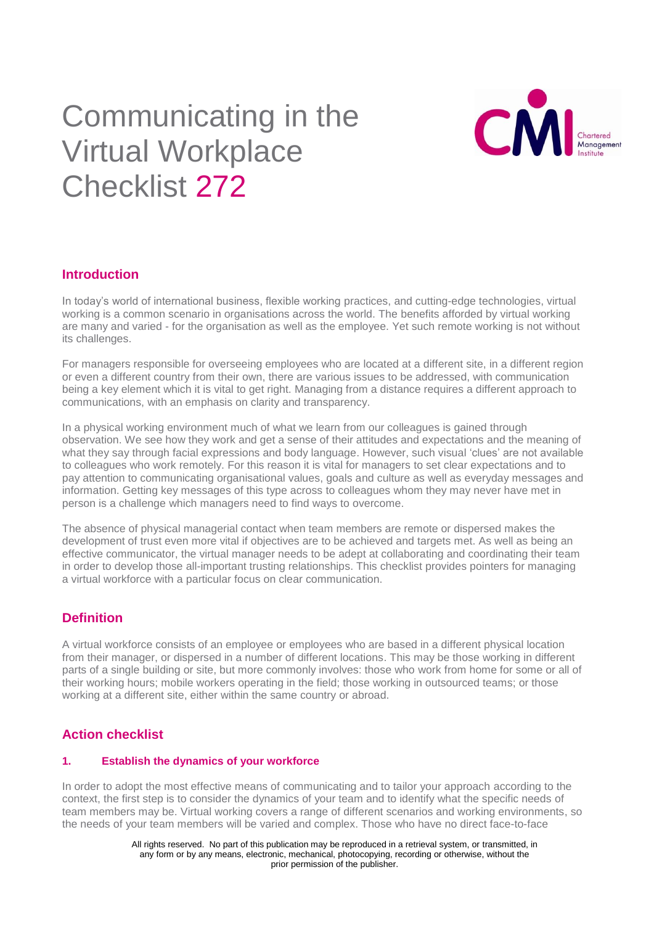# Communicating in the Virtual Workplace Checklist 272



# **Introduction**

In today's world of international business, flexible working practices, and cutting-edge technologies, virtual working is a common scenario in organisations across the world. The benefits afforded by virtual working are many and varied - for the organisation as well as the employee. Yet such remote working is not without its challenges.

For managers responsible for overseeing employees who are located at a different site, in a different region or even a different country from their own, there are various issues to be addressed, with communication being a key element which it is vital to get right. Managing from a distance requires a different approach to communications, with an emphasis on clarity and transparency.

In a physical working environment much of what we learn from our colleagues is gained through observation. We see how they work and get a sense of their attitudes and expectations and the meaning of what they say through facial expressions and body language. However, such visual 'clues' are not available to colleagues who work remotely. For this reason it is vital for managers to set clear expectations and to pay attention to communicating organisational values, goals and culture as well as everyday messages and information. Getting key messages of this type across to colleagues whom they may never have met in person is a challenge which managers need to find ways to overcome.

The absence of physical managerial contact when team members are remote or dispersed makes the development of trust even more vital if objectives are to be achieved and targets met. As well as being an effective communicator, the virtual manager needs to be adept at collaborating and coordinating their team in order to develop those all-important trusting relationships. This checklist provides pointers for managing a virtual workforce with a particular focus on clear communication.

# **Definition**

A virtual workforce consists of an employee or employees who are based in a different physical location from their manager, or dispersed in a number of different locations. This may be those working in different parts of a single building or site, but more commonly involves: those who work from home for some or all of their working hours; mobile workers operating in the field; those working in outsourced teams; or those working at a different site, either within the same country or abroad.

# **Action checklist**

#### **1. Establish the dynamics of your workforce**

In order to adopt the most effective means of communicating and to tailor your approach according to the context, the first step is to consider the dynamics of your team and to identify what the specific needs of team members may be. Virtual working covers a range of different scenarios and working environments, so the needs of your team members will be varied and complex. Those who have no direct face-to-face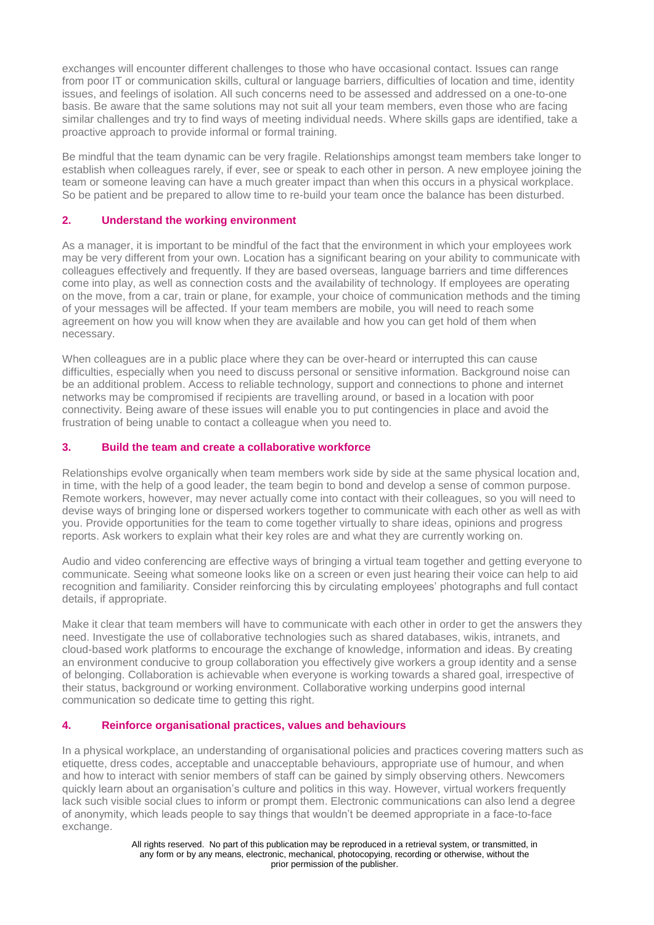exchanges will encounter different challenges to those who have occasional contact. Issues can range from poor IT or communication skills, cultural or language barriers, difficulties of location and time, identity issues, and feelings of isolation. All such concerns need to be assessed and addressed on a one-to-one basis. Be aware that the same solutions may not suit all your team members, even those who are facing similar challenges and try to find ways of meeting individual needs. Where skills gaps are identified, take a proactive approach to provide informal or formal training.

Be mindful that the team dynamic can be very fragile. Relationships amongst team members take longer to establish when colleagues rarely, if ever, see or speak to each other in person. A new employee joining the team or someone leaving can have a much greater impact than when this occurs in a physical workplace. So be patient and be prepared to allow time to re-build your team once the balance has been disturbed.

#### **2. Understand the working environment**

As a manager, it is important to be mindful of the fact that the environment in which your employees work may be very different from your own. Location has a significant bearing on your ability to communicate with colleagues effectively and frequently. If they are based overseas, language barriers and time differences come into play, as well as connection costs and the availability of technology. If employees are operating on the move, from a car, train or plane, for example, your choice of communication methods and the timing of your messages will be affected. If your team members are mobile, you will need to reach some agreement on how you will know when they are available and how you can get hold of them when necessary.

When colleagues are in a public place where they can be over-heard or interrupted this can cause difficulties, especially when you need to discuss personal or sensitive information. Background noise can be an additional problem. Access to reliable technology, support and connections to phone and internet networks may be compromised if recipients are travelling around, or based in a location with poor connectivity. Being aware of these issues will enable you to put contingencies in place and avoid the frustration of being unable to contact a colleague when you need to.

#### **3. Build the team and create a collaborative workforce**

Relationships evolve organically when team members work side by side at the same physical location and, in time, with the help of a good leader, the team begin to bond and develop a sense of common purpose. Remote workers, however, may never actually come into contact with their colleagues, so you will need to devise ways of bringing lone or dispersed workers together to communicate with each other as well as with you. Provide opportunities for the team to come together virtually to share ideas, opinions and progress reports. Ask workers to explain what their key roles are and what they are currently working on.

Audio and video conferencing are effective ways of bringing a virtual team together and getting everyone to communicate. Seeing what someone looks like on a screen or even just hearing their voice can help to aid recognition and familiarity. Consider reinforcing this by circulating employees' photographs and full contact details, if appropriate.

Make it clear that team members will have to communicate with each other in order to get the answers they need. Investigate the use of collaborative technologies such as shared databases, wikis, intranets, and cloud-based work platforms to encourage the exchange of knowledge, information and ideas. By creating an environment conducive to group collaboration you effectively give workers a group identity and a sense of belonging. Collaboration is achievable when everyone is working towards a shared goal, irrespective of their status, background or working environment. Collaborative working underpins good internal communication so dedicate time to getting this right.

## **4. Reinforce organisational practices, values and behaviours**

In a physical workplace, an understanding of organisational policies and practices covering matters such as etiquette, dress codes, acceptable and unacceptable behaviours, appropriate use of humour, and when and how to interact with senior members of staff can be gained by simply observing others. Newcomers quickly learn about an organisation's culture and politics in this way. However, virtual workers frequently lack such visible social clues to inform or prompt them. Electronic communications can also lend a degree of anonymity, which leads people to say things that wouldn't be deemed appropriate in a face-to-face exchange.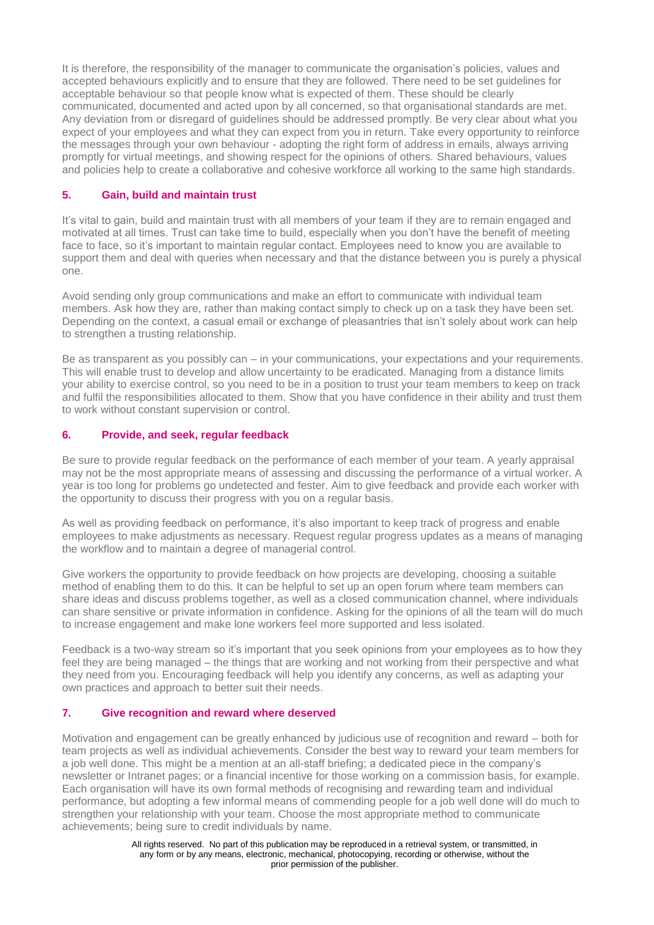It is therefore, the responsibility of the manager to communicate the organisation's policies, values and accepted behaviours explicitly and to ensure that they are followed. There need to be set guidelines for acceptable behaviour so that people know what is expected of them. These should be clearly communicated, documented and acted upon by all concerned, so that organisational standards are met. Any deviation from or disregard of guidelines should be addressed promptly. Be very clear about what you expect of your employees and what they can expect from you in return. Take every opportunity to reinforce the messages through your own behaviour - adopting the right form of address in emails, always arriving promptly for virtual meetings, and showing respect for the opinions of others. Shared behaviours, values and policies help to create a collaborative and cohesive workforce all working to the same high standards.

#### **5. Gain, build and maintain trust**

It's vital to gain, build and maintain trust with all members of your team if they are to remain engaged and motivated at all times. Trust can take time to build, especially when you don't have the benefit of meeting face to face, so it's important to maintain regular contact. Employees need to know you are available to support them and deal with queries when necessary and that the distance between you is purely a physical one.

Avoid sending only group communications and make an effort to communicate with individual team members. Ask how they are, rather than making contact simply to check up on a task they have been set. Depending on the context, a casual email or exchange of pleasantries that isn't solely about work can help to strengthen a trusting relationship.

Be as transparent as you possibly can – in your communications, your expectations and your requirements. This will enable trust to develop and allow uncertainty to be eradicated. Managing from a distance limits your ability to exercise control, so you need to be in a position to trust your team members to keep on track and fulfil the responsibilities allocated to them. Show that you have confidence in their ability and trust them to work without constant supervision or control.

## **6. Provide, and seek, regular feedback**

Be sure to provide regular feedback on the performance of each member of your team. A yearly appraisal may not be the most appropriate means of assessing and discussing the performance of a virtual worker. A year is too long for problems go undetected and fester. Aim to give feedback and provide each worker with the opportunity to discuss their progress with you on a regular basis.

As well as providing feedback on performance, it's also important to keep track of progress and enable employees to make adjustments as necessary. Request regular progress updates as a means of managing the workflow and to maintain a degree of managerial control.

Give workers the opportunity to provide feedback on how projects are developing, choosing a suitable method of enabling them to do this. It can be helpful to set up an open forum where team members can share ideas and discuss problems together, as well as a closed communication channel, where individuals can share sensitive or private information in confidence. Asking for the opinions of all the team will do much to increase engagement and make lone workers feel more supported and less isolated.

Feedback is a two-way stream so it's important that you seek opinions from your employees as to how they feel they are being managed – the things that are working and not working from their perspective and what they need from you. Encouraging feedback will help you identify any concerns, as well as adapting your own practices and approach to better suit their needs.

#### **7. Give recognition and reward where deserved**

Motivation and engagement can be greatly enhanced by judicious use of recognition and reward – both for team projects as well as individual achievements. Consider the best way to reward your team members for a job well done. This might be a mention at an all-staff briefing; a dedicated piece in the company's newsletter or Intranet pages; or a financial incentive for those working on a commission basis, for example. Each organisation will have its own formal methods of recognising and rewarding team and individual performance, but adopting a few informal means of commending people for a job well done will do much to strengthen your relationship with your team. Choose the most appropriate method to communicate achievements; being sure to credit individuals by name.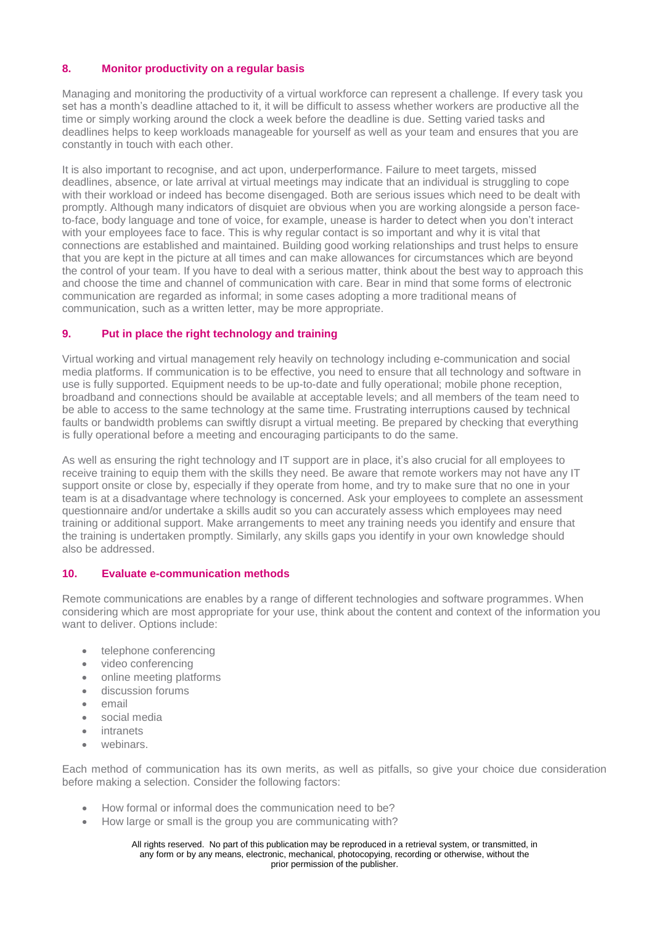### **8. Monitor productivity on a regular basis**

Managing and monitoring the productivity of a virtual workforce can represent a challenge. If every task you set has a month's deadline attached to it, it will be difficult to assess whether workers are productive all the time or simply working around the clock a week before the deadline is due. Setting varied tasks and deadlines helps to keep workloads manageable for yourself as well as your team and ensures that you are constantly in touch with each other.

It is also important to recognise, and act upon, underperformance. Failure to meet targets, missed deadlines, absence, or late arrival at virtual meetings may indicate that an individual is struggling to cope with their workload or indeed has become disengaged. Both are serious issues which need to be dealt with promptly. Although many indicators of disquiet are obvious when you are working alongside a person faceto-face, body language and tone of voice, for example, unease is harder to detect when you don't interact with your employees face to face. This is why regular contact is so important and why it is vital that connections are established and maintained. Building good working relationships and trust helps to ensure that you are kept in the picture at all times and can make allowances for circumstances which are beyond the control of your team. If you have to deal with a serious matter, think about the best way to approach this and choose the time and channel of communication with care. Bear in mind that some forms of electronic communication are regarded as informal; in some cases adopting a more traditional means of communication, such as a written letter, may be more appropriate.

#### **9. Put in place the right technology and training**

Virtual working and virtual management rely heavily on technology including e-communication and social media platforms. If communication is to be effective, you need to ensure that all technology and software in use is fully supported. Equipment needs to be up-to-date and fully operational; mobile phone reception, broadband and connections should be available at acceptable levels; and all members of the team need to be able to access to the same technology at the same time. Frustrating interruptions caused by technical faults or bandwidth problems can swiftly disrupt a virtual meeting. Be prepared by checking that everything is fully operational before a meeting and encouraging participants to do the same.

As well as ensuring the right technology and IT support are in place, it's also crucial for all employees to receive training to equip them with the skills they need. Be aware that remote workers may not have any IT support onsite or close by, especially if they operate from home, and try to make sure that no one in your team is at a disadvantage where technology is concerned. Ask your employees to complete an assessment questionnaire and/or undertake a skills audit so you can accurately assess which employees may need training or additional support. Make arrangements to meet any training needs you identify and ensure that the training is undertaken promptly. Similarly, any skills gaps you identify in your own knowledge should also be addressed.

#### **10. Evaluate e-communication methods**

Remote communications are enables by a range of different technologies and software programmes. When considering which are most appropriate for your use, think about the content and context of the information you want to deliver. Options include:

- telephone conferencing
- video conferencing
- online meeting platforms
- discussion forums
- email
- social media
- intranets
- webinars.

Each method of communication has its own merits, as well as pitfalls, so give your choice due consideration before making a selection. Consider the following factors:

- How formal or informal does the communication need to be?
- How large or small is the group you are communicating with?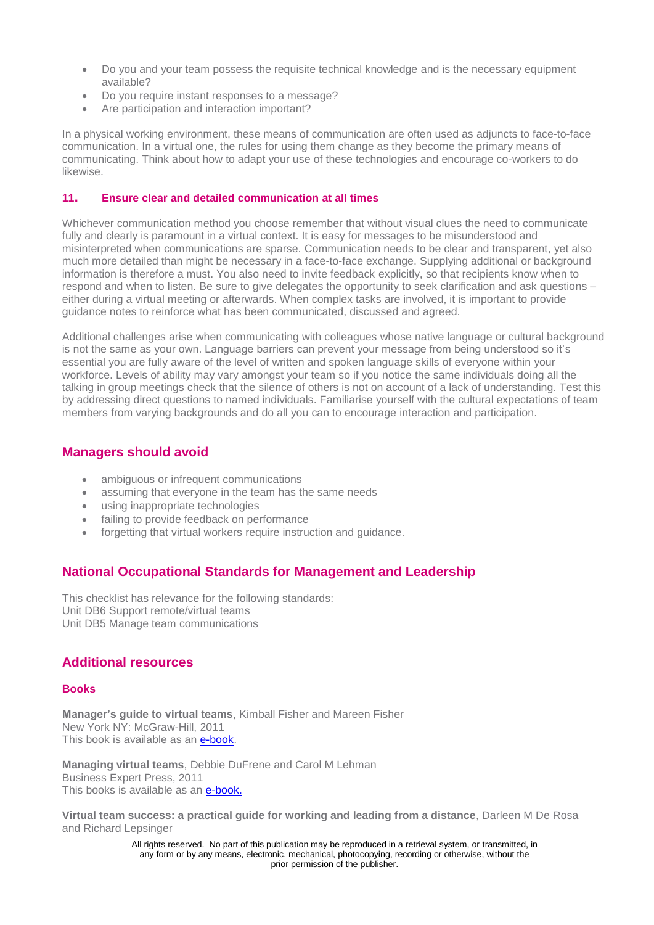- Do you and your team possess the requisite technical knowledge and is the necessary equipment available?
- Do you require instant responses to a message?
- Are participation and interaction important?

In a physical working environment, these means of communication are often used as adjuncts to face-to-face communication. In a virtual one, the rules for using them change as they become the primary means of communicating. Think about how to adapt your use of these technologies and encourage co-workers to do likewise.

#### **11. Ensure clear and detailed communication at all times**

Whichever communication method you choose remember that without visual clues the need to communicate fully and clearly is paramount in a virtual context. It is easy for messages to be misunderstood and misinterpreted when communications are sparse. Communication needs to be clear and transparent, yet also much more detailed than might be necessary in a face-to-face exchange. Supplying additional or background information is therefore a must. You also need to invite feedback explicitly, so that recipients know when to respond and when to listen. Be sure to give delegates the opportunity to seek clarification and ask questions – either during a virtual meeting or afterwards. When complex tasks are involved, it is important to provide guidance notes to reinforce what has been communicated, discussed and agreed.

Additional challenges arise when communicating with colleagues whose native language or cultural background is not the same as your own. Language barriers can prevent your message from being understood so it's essential you are fully aware of the level of written and spoken language skills of everyone within your workforce. Levels of ability may vary amongst your team so if you notice the same individuals doing all the talking in group meetings check that the silence of others is not on account of a lack of understanding. Test this by addressing direct questions to named individuals. Familiarise yourself with the cultural expectations of team members from varying backgrounds and do all you can to encourage interaction and participation.

# **Managers should avoid**

- ambiguous or infrequent communications
- assuming that everyone in the team has the same needs
- using inappropriate technologies
- failing to provide feedback on performance
- forgetting that virtual workers require instruction and guidance.

# **National Occupational Standards for Management and Leadership**

This checklist has relevance for the following standards: Unit DB6 Support remote/virtual teams Unit DB5 Manage team communications

## **Additional resources**

#### **Books**

**Manager's guide to virtual teams**, Kimball Fisher and Mareen Fisher New York NY: McGraw-Hill, 2011 This book is available as an [e-book.](http://www.managers.org.uk/ebooks)

**Managing virtual teams**, Debbie DuFrene and Carol M Lehman Business Expert Press, 2011 This books is available as an [e-book.](http://www.managers.org.uk/ebooks)

**Virtual team success: a practical guide for working and leading from a distance**, Darleen M De Rosa and Richard Lepsinger